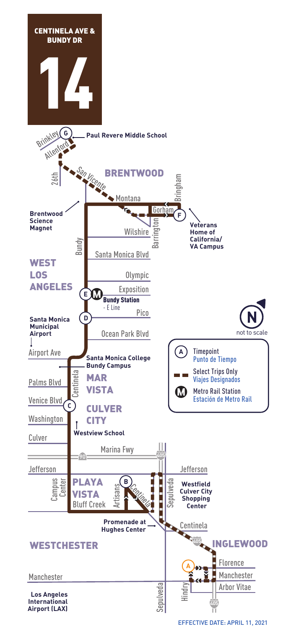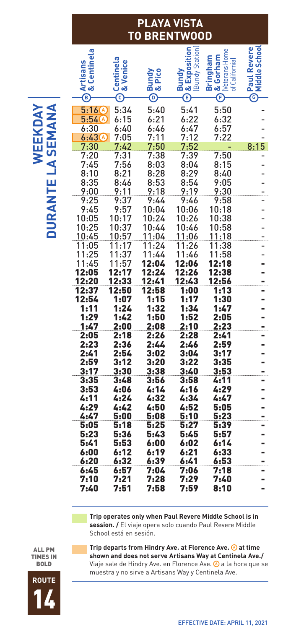## **PLAYA VISTA TO BRENTWOOD**

L

| Centinela<br><b>Artisans</b><br>œ<br>$^{\circledR}$                        | Centinela<br>& Venice<br>$_{\mathord{\odot}}$ | Pico<br>Bundy<br>& Pico<br>$^{\copyright}$ | <b>Bundy<br/> &amp; Exposition</b><br>(Bundy Station)<br>Ē | <b>Neterans Home</b><br>& Gorham<br>Bringham<br>of California)<br>$\overline{\mathbb{E}}$ | <b>ORaul Revere</b><br>Middle School |
|----------------------------------------------------------------------------|-----------------------------------------------|--------------------------------------------|------------------------------------------------------------|-------------------------------------------------------------------------------------------|--------------------------------------|
| $5:16$ <sup><math>\odot</math></sup><br>5:540<br>6:30<br>6:43 <sup>4</sup> | 5:34<br>6:15<br>6:40<br>7:05                  | 5:40<br>6:21<br>6:46<br>7:11               | 5:41<br>6:22<br>6:47<br>7:12                               | 5:50<br>6:32<br>6:57<br>7:22                                                              |                                      |
| 7:30<br>7:20                                                               | 7:42<br>7:31                                  | 7:50<br>7:38                               | 7:52<br>7:39                                               | 7:50                                                                                      | 8:15                                 |
| 7:45                                                                       | 7:56                                          | 8:03                                       | 8:04                                                       | 8:15                                                                                      |                                      |
| 8:10<br>8:35                                                               | 8:21<br>8:46                                  | 8:28<br>8:53                               | 8:29<br>8:54                                               | 8:40<br>9:05                                                                              |                                      |
| 9:00                                                                       | 9:11                                          | 9:18                                       | 9:19                                                       | 9:30                                                                                      |                                      |
| 9:25                                                                       | 9:37                                          | 9:44                                       | 9:46                                                       | 9:58                                                                                      |                                      |
| 9:45<br>10:05                                                              | 9:57<br>10:17                                 | 10:04<br>10:24                             | 10:06<br>10:26                                             | 10:18<br>10:38                                                                            |                                      |
| 10:25                                                                      | 10:37                                         | 10:44                                      | 10:46                                                      | 10:58                                                                                     |                                      |
| 10:45                                                                      | 10:57                                         | 11:04                                      | 11:06                                                      | 11:18                                                                                     |                                      |
| 11:05<br>11:25                                                             | 11:17<br>11:37                                | 11:24<br>11:44                             | 11:26<br>11:46                                             | 11:38<br>11:58                                                                            |                                      |
| 11:45                                                                      | 11:57                                         | 12:04                                      | 12:06                                                      | 12:18                                                                                     |                                      |
| 12:05                                                                      | 12:17                                         | 12:24                                      | 12:26                                                      | 12:38                                                                                     |                                      |
| 12:20                                                                      | 12:33                                         | 12:41                                      | 12:43                                                      | 12:56                                                                                     |                                      |
| 12:37<br>12:54                                                             | 12:50<br>1:07                                 | 12:58<br>1:15                              | 1:00<br>1:17                                               | 1:13<br>1:30                                                                              |                                      |
| 1:11                                                                       | 1:24                                          | 1:32                                       | 1:34                                                       | 1:47                                                                                      |                                      |
| 1:29                                                                       | 1:42                                          | 1:50                                       | 1:52                                                       | 2:05                                                                                      |                                      |
| 1:47<br>2:05                                                               | 2:00<br>2:18                                  | 2:08<br>2:26                               | 2:10<br>2:28                                               | 2:23<br>2:41                                                                              |                                      |
| 2:23                                                                       | 2:36                                          | 2:44                                       | 2:46                                                       | 2:59                                                                                      |                                      |
| 2:41                                                                       | 2:54                                          | 3:02                                       | 3:04                                                       | 3:17                                                                                      |                                      |
| 2:59                                                                       | 3:12                                          | 3:20                                       | 3:22                                                       | 3:35                                                                                      |                                      |
| 3:17<br>3:35                                                               | 3:30<br>3:48                                  | 3:38<br>3:56                               | 3:40<br>3:58                                               | 3:53<br>4:11                                                                              |                                      |
| 3:53                                                                       | 4:06                                          | 4:14                                       | 4:16                                                       | 4:29                                                                                      |                                      |
| 4:11                                                                       | 4:24                                          | 4:32                                       | 4:34                                                       | 4:47                                                                                      |                                      |
| 4:29<br>4:47                                                               | 4:42<br>5:00                                  | 4:50<br>5:08                               | 4:52<br>5:10                                               | 5:05<br>5:23                                                                              |                                      |
| 5:05                                                                       | 5:18                                          | 5:25                                       | 5:27                                                       | 5:39                                                                                      |                                      |
| 5:23                                                                       | 5:36                                          | 5:43                                       | 5:45                                                       | 5:57                                                                                      |                                      |
| 5:41                                                                       | 5:53<br>6:12                                  | 6:00<br>6:19                               | 6:02                                                       | 6:14<br>6:33                                                                              |                                      |
| 6:00                                                                       |                                               |                                            | 6:21                                                       |                                                                                           |                                      |
|                                                                            |                                               |                                            |                                                            |                                                                                           |                                      |
| 6:20<br>6:45                                                               | 6:32<br>6:57                                  | 6:39<br>7:04                               | 6:41<br>7:06                                               | 6:53<br>7:18                                                                              |                                      |
| 7:10<br>7:40                                                               | 7:21<br>7:51                                  | 7:28<br>7:58                               | 7:29<br>7:59                                               | 7:40<br>8:10                                                                              |                                      |

 **Trip operates only when Paul Revere Middle School is in session. /** El viaje opera solo cuando Paul Revere Middle School está en sesión.

ALL PM TIMES IN BOLD

**Trip departs from Hindry Ave. at Florence Ave. 4 at time shown and does not serve Artisans Way at Centinela Ave./** Viaje sale de Hindry Ave. en Florence Ave.a la hora que se **A** muestra y no sirve a Artisans Way y Centinela Ave.

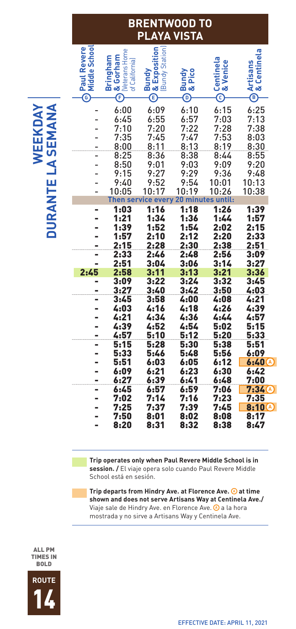| AYA VISTA<br>PI                                                   |                                                                     |                                                             |                                                  |                                                             |                                                           |
|-------------------------------------------------------------------|---------------------------------------------------------------------|-------------------------------------------------------------|--------------------------------------------------|-------------------------------------------------------------|-----------------------------------------------------------|
| <b>Middle School</b><br><b>Paul Revere</b><br>$\rm \tilde{\odot}$ | <b>Neterans Home</b><br>Bringham<br>& Gorham<br>of California)<br>F | Bundy<br>) & Exposition<br>Bundy Station)<br>Ξ              | <b>Bundy</b><br>& Pico<br>$\widehat{\mathbf{e}}$ | Centinela<br>& Venice<br>$\overline{\mathbb{C}}$            | & Centinela<br><b>Artisans</b><br>$\overline{C}$          |
|                                                                   | 6:00<br>6:45<br>7:10<br>7:35<br>8:00                                | 6:09<br>6:55<br>7:20<br>7:45<br>8:11                        | 6:10<br>6:57<br>7:22<br>7:47<br>8:13             | 6:15<br>7:03<br>7:28<br>7:53<br>8:19                        | 6:25<br>7:13<br>7:38<br>8:03<br>8:30                      |
|                                                                   | 8:25<br>8:50<br>9:15<br>9:40<br>10:05                               | 8:36<br>9:01<br>9:27<br>9:52<br>10:17<br>Then service every | 8:38<br>9:03<br>9:29<br>9:54<br>10:19            | 8:44<br>9:09<br>9:36<br>10:01<br>10:26<br>20 minutes until: | 8:55<br>9:20<br>9:48<br>10:13<br>10:38                    |
|                                                                   | 1:03<br>1:21<br>1:39<br>1:57<br>2:15                                | 1:16<br>1:34<br>1:52<br>2:10<br>2:28                        | 1:18<br>1:36<br>1:54<br>2:12<br>2:30             | 1:26<br>1:44<br>2:02<br>2:20<br>2:38                        | 1:39<br>1:57<br>2:15<br>2:33<br>2:51                      |
| -<br>2:45                                                         | 2:33<br>2:51<br>2:58<br>3:09<br>3:27<br>3:45                        | 2:46<br>3:04<br>3:11<br>3:22<br>3:40<br>3:58                | 2:48<br>3:06<br>3:13<br>3:24<br>3:42<br>4:00     | 2:56<br>3:14<br>3:21<br>3:32<br>3:50<br>4:08                | 3:09<br>3:27<br>3:36<br>3:45<br>4:03<br>4:21              |
|                                                                   | 4:03<br>4:21<br>4:39<br>4:57<br>5:15                                | 4:16<br>4:34<br>4:52<br>5:10<br>5:28                        | 4:18<br>4:36<br>4:54<br>5:12<br>5:30             | 4:26<br>4:44<br>5:02<br>5:20<br>5:38                        | 4:39<br>4:57<br>5:15<br>5:33<br>5:51                      |
|                                                                   | 5:33<br>5:51<br>6:09<br>6:27<br>6:45<br>7:02                        | 5:46<br>6:03<br>6:21<br>6:39<br>6:57                        | 5:48<br>6:05<br>6:23<br>6:41<br>6:59             | 5:56<br>6:12<br>6:30<br>6:48<br>7:06<br>7:23                | 6:09<br>6:40(4)<br>6:42<br>7:00<br>$7:34$ $\odot$<br>7:35 |
|                                                                   | 7:25<br>7:50<br>8:20                                                | 7:14<br>7:37<br>8:01<br>8:31                                | 7:16<br>7:39<br>8:02<br>8:32                     | 7:45<br>8:08<br>8:38                                        | <b>8:10</b> <sup></sup><br>8:17<br>8:47                   |

**BRENTWOOD TO**

# WEEKDAY DURANTE LA SEMANA **WEEKDAY DURANTE LA SEMANA**

 **Trip operates only when Paul Revere Middle School is in session. /** El viaje opera solo cuando Paul Revere Middle School está en sesión.

**Trip departs from Hindry Ave. at Florence Ave. 4 at time shown and does not serve Artisans Way at Centinela Ave./** Viaje sale de Hindry Ave. en Florence Ave.a la hora **A** mostrada y no sirve a Artisans Way y Centinela Ave.

ALL PM TIMES IN BOLD

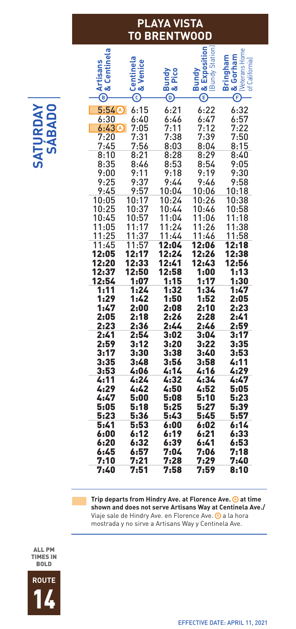#### **PLAYA VISTA TO BRENTWOOD**

**A** 5:54 6:15 6:21 6:22 6:32 **A Artisans**<br>& Centinela<br>- Centinela<br>- இது மாதி கால் கால் கால்<br>- இது கால் கார்டிரிக்கு<br>- இது கார்டிரிக்கி 6:30 6:40 6:46 6:47 6:57 6:43 7:05 7:11 7:12 7:22 7:20 7:31 7:38 7:39 7:50 7:45 7:56 8:03 8:04 8:15 8:10 8:21 8:28 8:29 8:40 8:35 8:46 8:53 8:54 9:05 9:00 9:11 9:18 9:19 9:30 9:25 9:37 9:44 9:46 9:58 9:45 9:57 10:04 10:06 10:18 10:05 10:17 10:24 10:26 10:38 10:25 10:37 10:44 10:46 10:58 10:45 10:57 11:04 11:06 11:18 11:05 11:17 11:24 11:26 11:38<br><u>11:25 11:37 11:44 11:46 11:58</u><br>11:45 11:57 **12:04 12:06 12:18** 11:25 11:37 11:44 11:46 11:58 11:45 11:57 12:04 12:06 12:18 12:05 12:17 12:24 12:26 12:38 12:20 12:33 12:41 12:43 12:56 12:37 12:50 12:58 1:00 1:13 12:54 1:07 1:15 1:17 1:11 1:24 1:32 1:34 1:47 1:29 1:42 1:50 1:52 2:05 2:10 2:05 2:18 2:26 2:28 2:41 2:23 2:36 2:44 2:46 2:59 2:41 2:54 3:02 3:04 3:17 ي 13:41 12:54 1 12:54 13:02 13:04 13:17<br>2:59 13:12 13:20 13:22 3:35<br>3:17 13:30 13:38 13:40 13:53 3:17 3:30 3:38 3:40 3:53 3:35 3:48 3:56 3:58 4:11 3:53 4:06 4:14 4:16 4:29 4:11 4:24 4:32 4:34 4:47 4:29 4:42 4:50 4:52 5:05 4:47 5:00 5:08 5:10 5:23 5:05 5:18 5:25 5:27 5:39 5:23 5:36 5:43 5:45 5:57 5:41 5:53 6:00 6:02 6:14 6:00 6:12 6:19 6:21 6:33 6:20 6:32 6:39 6:41 6:53 6:45 6:57 7:04 7:06 7:18 7:10 7:21 7:28 7:29 7:40 7:20 7:45 7:51 7:44 7:46 7:52 7:58 8:36 8:53 8:54 8:53 8:54 8:53 8:54 8:53 8:54 8:53 8:54 8:53 8:54 8:53 8:54 8:53 8:54 8:53 8:54 8:53 8:54 8:53 8:54 8:53 8:54 9:56 8:46 8:53 8:54 9:56 8:46 8:53 8:54 9:46 8:53 8:54 9:46 9:

Trip departs from Hindry Ave. at Florence Ave. @ at time **shown and does not serve Artisans Way at Centinela Ave./** Viaje sale de Hindry Ave. en Florence Ave.a la hora **A** mostrada y no sirve a Artisans Way y Centinela Ave.





**SATURDAY SÁBADO**

**JRDAY**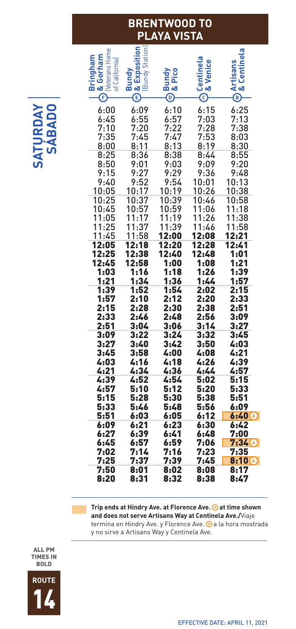#### **BRENTWOOD TO PLAYA VISTA**

| Weterans Home<br>of California)<br>ತ<br>Œ      | Station<br>Bundy<br>Bundy<br>öð<br>Ē                  | Pico<br>ᄝᆕ<br>⊚                                | & Venice<br>O                                     | nela<br>න්<br>®.                                      |
|------------------------------------------------|-------------------------------------------------------|------------------------------------------------|---------------------------------------------------|-------------------------------------------------------|
| 6:00<br>6:45<br>7:10<br>7:35<br>8:00           | 6:09<br>6:55<br>7:20<br>7:45<br>8:11                  | 6:10<br>6:57<br>7:22<br>7:47<br>8:13           | 6:15<br>7:03<br>7:28<br>7:53<br>8:19              | 6:25<br>7:13<br>7:38<br>8:03<br>8:30                  |
| 8:25<br>8:50<br>9:15<br>9:40<br>10:05<br>10:25 | 8:36<br>9:01<br>9:27<br>9:52<br>10:17<br>10:37        | 8:38<br>9:03<br>9:29<br>9:54<br>10:19<br>10:39 | 8:44<br>9:09<br>9:36<br>10:01<br>10:26<br>10:46   | 8:55<br>9:20<br>9:48<br>10:13<br>10:38<br>10:58       |
| 10:45<br>11:05<br>11:25<br>11:45<br>12:05      | 10:57<br>11:17<br>1<br>1:37<br><u> 11:58</u><br>12:18 | 10:59<br>11:19<br>1:39<br>1<br>12:00<br>12:20  | 1:06<br>1<br>11:26<br>1:46<br>1<br>12:08<br>12:28 | 1:18<br>1<br>1:38<br>1<br>1:58<br>1<br>12:21<br>12:41 |
| 12:25<br>12:45<br>1:03<br>1:21                 | 12:38<br>12:58<br>1:16<br>1:34                        | 12:40<br>1:00<br>1:18<br>1:36                  | 12:48<br>1:08<br>1:26<br>1:44                     | 1:01<br>1:21<br>1:39<br>1:57                          |
|                                                |                                                       |                                                |                                                   |                                                       |
| 1:39<br>1:57<br>2:15<br>2:33<br>2:51<br>3:09   | 1:52<br>2:10<br>2:28<br>2:46<br>3:04<br>3:22          | 1:54<br>2:12<br>2:30<br>2:48<br>3:06<br>3:24   | 2:02<br>2:20<br>2:38<br>2:56<br>3:14<br>3:32      | 2:15<br>2:33<br>2:51<br>3:09<br>3:27                  |
| 3:27<br>3:45<br>4:03<br>4:21<br>4:39           | 3:40<br>3:58<br>4:16<br>4:34<br>4:52                  | 3:42<br>4:00<br>4:18<br>4:36<br>4:54           | 3:50<br>4:08<br>4:26<br>4:44<br>5:02              | 3:45<br>4:03<br>4:21<br>4:39<br>4:57<br>5:15          |
| 4:57<br>5:15<br>5:33<br>5:51<br>6:09<br>6:27   | 5:10<br>5:28<br>5:46<br>6:03<br>6:21<br>6:39          | 5:12<br>5:30<br>5:48<br>6:05<br>6:23<br>6:41   | 5:20<br>5:38<br>5:56<br>6:12<br>6:30<br>6:48      | 5:33<br>5:51<br>6:09<br>6:40(A)<br>6:42<br>7:00       |

Trip ends at Hindry Ave. at Florence Ave. 4 at time shown **and does not serve Artisans Way at Centinela Ave./**Viaje termina en Hindry Ave. y Florence Ave. @ a la hora mostrada y no sirve a Artisans Way y Centinela Ave.

ALL PM TIMES IN BOLD

**SATURDAY SÁBADO**



EFFECTIVE DATE: APRIL 11, 2021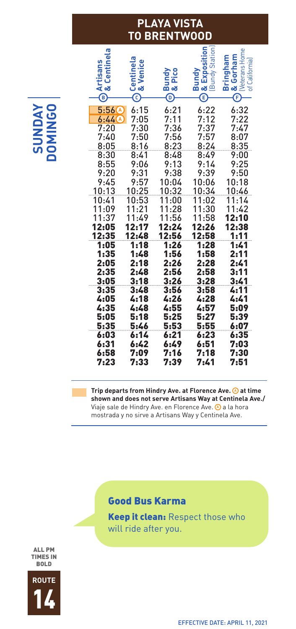### **PLAYA VISTA TO BRENTWOOD**

| Centinela<br>Artisans<br>& Centine<br>$^\copyright$ | <b>Centinela</b><br>& Venice<br>$_{\mathord{\odot}}$ | <b>Bundy</b><br>& Pico<br>$^\copyright$   | & Exposition<br>Station<br>Bundy<br>Bundy<br>$\hat{\mathbf{e}}$ | <b>Neterans Home</b><br>& Gorham<br><b>Bringham</b><br>of California)<br>Œ |
|-----------------------------------------------------|------------------------------------------------------|-------------------------------------------|-----------------------------------------------------------------|----------------------------------------------------------------------------|
| 5:56<br>Α<br>$6:44$ $A$<br>7:20<br>7:40<br>8:05     | 6:15<br>7:05<br>7:30<br>7:50<br>8:16                 | 6:21<br>7:11<br>7:36<br>7:56<br>8:23      | 6:22<br>7:12<br>7:37<br>7:57<br>8:24                            | 6:32<br>7:22<br>7:47<br>8:07                                               |
| 8:30<br>8:55<br>9:20<br>9:45<br>10:13               | 8:41<br>9:06<br>9:31<br>9:57<br>10:25                | 8:48<br>9:13<br>9:38<br>10:04<br>10:32    | 8:49<br>9:14<br>9:39<br>10:06<br>10:34                          | 8:35<br>9:00<br>9:25<br>9:50<br>10:18<br><u> 10:46</u>                     |
| 10:41<br>11:09<br>11:37<br>12:05<br>12:35           | 10:53<br>1:21<br>1<br>1:49<br>1<br>12:17<br>12:48    | 11:00<br>11:28<br>11:56<br>12:24<br>12:56 | 11:02<br>1:30<br>1<br>11:58<br>12:26<br>12:58                   | 11:14<br>11:42<br>12:10<br>12:38<br>1:11                                   |
| 1:05<br>1:35<br>2:05<br>2:35<br>3:05                | 1:18<br>1:48<br>2:18<br>2:48<br>3:18                 | 1:26<br>1:56<br>2:26<br>2:56<br>3:26      | 1:28<br>1:58<br>2:28<br>2:58<br>3:28                            | 1:41<br>2:11<br>2:41<br>3:11<br>3:41                                       |
| 3:35<br>4:05<br>4:35<br>5:05<br>5:35                | 3:48<br>4:18<br>4:48<br>5:18<br>5:46                 | 3:56<br>4:26<br>4:55<br>5:25<br>5:53      | 3:58<br>4:28<br>4:57<br>5:27<br>5:55                            | 4:11<br>4:41<br>5:09<br>5:39<br>6:07                                       |
| 6:03<br>6:31<br>6:58<br>7:23                        | 6:14<br>6:42<br>7:09<br>7:33                         | 6:21<br>6:49<br>7:16<br>7:39              | 6:23<br>6:51<br>7:18<br>7:41                                    | 6:35<br>7:03<br>7:30<br>7:51                                               |

Trip departs from Hindry Ave. at Florence Ave. @ at time **shown and does not serve Artisans Way at Centinela Ave./** Viaje sale de Hindry Ave. en Florence Ave.a la hora **A** mostrada y no sirve a Artisans Way y Centinela Ave.

#### Good Bus Karma

**Keep it clean: Respect those who** will ride after you.

**SUNDAY GO DOMINGO**

ALL PM TIMES IN BOLD



EFFECTIVE DATE: APRIL 11, 2021